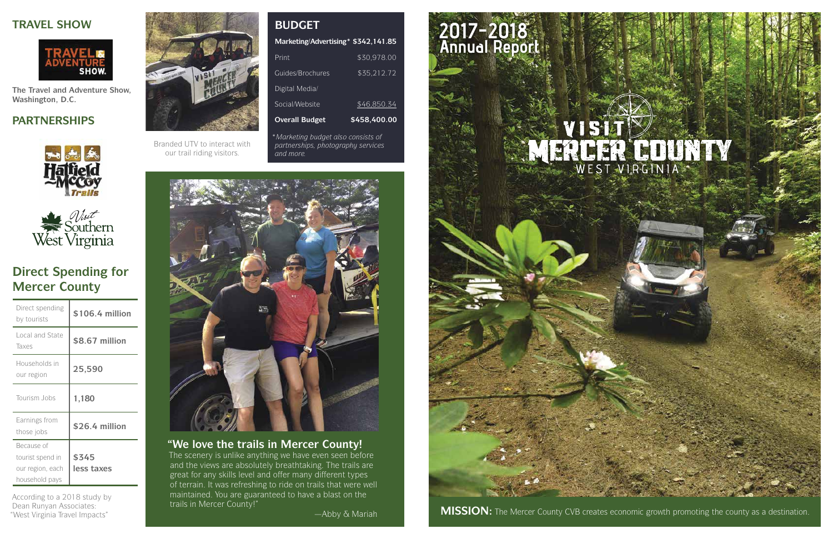## 2017-2018 Annual Report



West Virginia Travel Impacts" **Manual County:** Manual Abby & Mariah **MISSION:** The Mercer County CVB creates economic growth promoting the county as a destination.



## **Direct Spending for Mercer County**

## **PARTNERSHIPS**





### **TRAVEL SHOW**



**The Travel and Adventure Show, Washington, D.C.** 

According to a 2018 study by Dean Runyan Associates:



| Direct spending<br>by tourists                                       | \$106.4 million     |
|----------------------------------------------------------------------|---------------------|
| Local and State<br>Taxes                                             | \$8.67 million      |
| Households in<br>our region                                          | 25,590              |
| Tourism Jobs                                                         | 1,180               |
| Earnings from<br>those jobs                                          | \$26.4 million      |
| Because of<br>tourist spend in<br>our region, each<br>household pays | \$345<br>less taxes |

*\*Marketing budget also consists of partnerships, photography services and more.* 



Branded UTV to interact with our trail riding visitors.

### **"We love the trails in Mercer County!**

## **Marketing/Advertising\* \$342,141.85**  Print \$30,978.00 Guides/Brochures \$35,212.72 Digital Media/ Social/Website \$46,850.34 **Overall Budget \$458,400.00 BUDGET**

The scenery is unlike anything we have even seen before and the views are absolutely breathtaking. The trails are great for any skills level and offer many different types of terrain. It was refreshing to ride on trails that were well maintained. You are guaranteed to have a blast on the trails in Mercer County!"

—Abby & Mariah